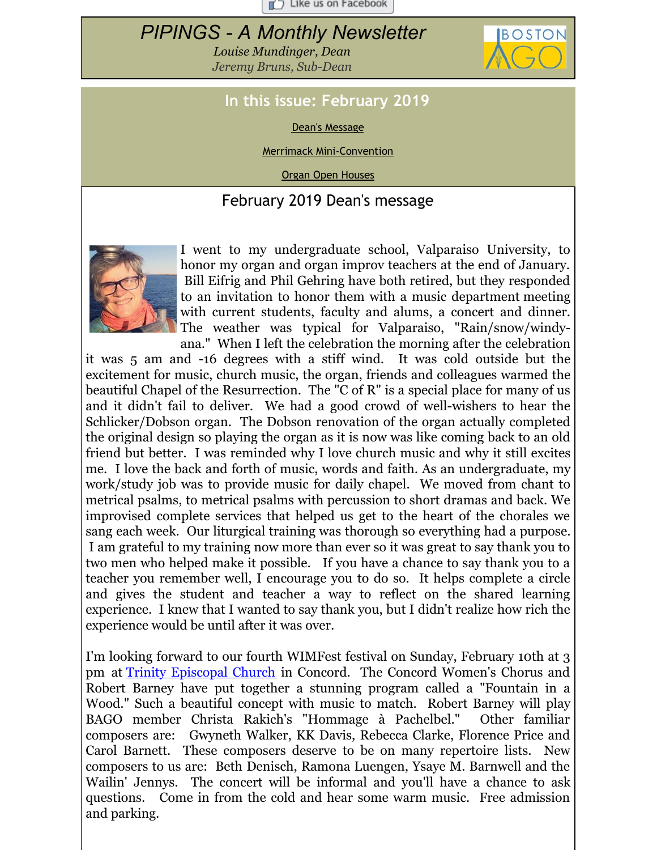$\Box$  Like us on Facebook

# <span id="page-0-0"></span>*PIPINGS - A Monthly Newsletter*

*Louise Mundinger, Dean Jeremy Bruns, Sub-Dean*



## **In this issue: February 2019**

Dean's [Message](#page-0-0)

Merrimack [Mini-Convention](#page-0-0)

Organ Open [Houses](#page-0-0)

#### February 2019 Dean's message



I went to my undergraduate school, Valparaiso University, to honor my organ and organ improv teachers at the end of January. Bill Eifrig and Phil Gehring have both retired, but they responded to an invitation to honor them with a music department meeting with current students, faculty and alums, a concert and dinner. The weather was typical for Valparaiso, "Rain/snow/windyana." When I left the celebration the morning after the celebration

it was 5 am and -16 degrees with a stiff wind. It was cold outside but the excitement for music, church music, the organ, friends and colleagues warmed the beautiful Chapel of the Resurrection. The "C of R" is a special place for many of us and it didn't fail to deliver. We had a good crowd of well-wishers to hear the Schlicker/Dobson organ. The Dobson renovation of the organ actually completed the original design so playing the organ as it is now was like coming back to an old friend but better. I was reminded why I love church music and why it still excites me. I love the back and forth of music, words and faith. As an undergraduate, my work/study job was to provide music for daily chapel. We moved from chant to metrical psalms, to metrical psalms with percussion to short dramas and back. We improvised complete services that helped us get to the heart of the chorales we sang each week. Our liturgical training was thorough so everything had a purpose. I am grateful to my training now more than ever so it was great to say thank you to two men who helped make it possible. If you have a chance to say thank you to a teacher you remember well, I encourage you to do so. It helps complete a circle and gives the student and teacher a way to reflect on the shared learning experience. I knew that I wanted to say thank you, but I didn't realize how rich the experience would be until after it was over.

I'm looking forward to our fourth WIMFest festival on Sunday, February 10th at 3 pm at Trinity [Episcopal](http://trinityconcord.org/directions/) Church in Concord. The Concord Women's Chorus and Robert Barney have put together a stunning program called a "Fountain in a Wood." Such a beautiful concept with music to match. Robert Barney will play BAGO member Christa Rakich's "Hommage à Pachelbel." Other familiar composers are: Gwyneth Walker, KK Davis, Rebecca Clarke, Florence Price and Carol Barnett. These composers deserve to be on many repertoire lists. New composers to us are: Beth Denisch, Ramona Luengen, Ysaye M. Barnwell and the Wailin' Jennys. The concert will be informal and you'll have a chance to ask questions. Come in from the cold and hear some warm music. Free admission and parking.